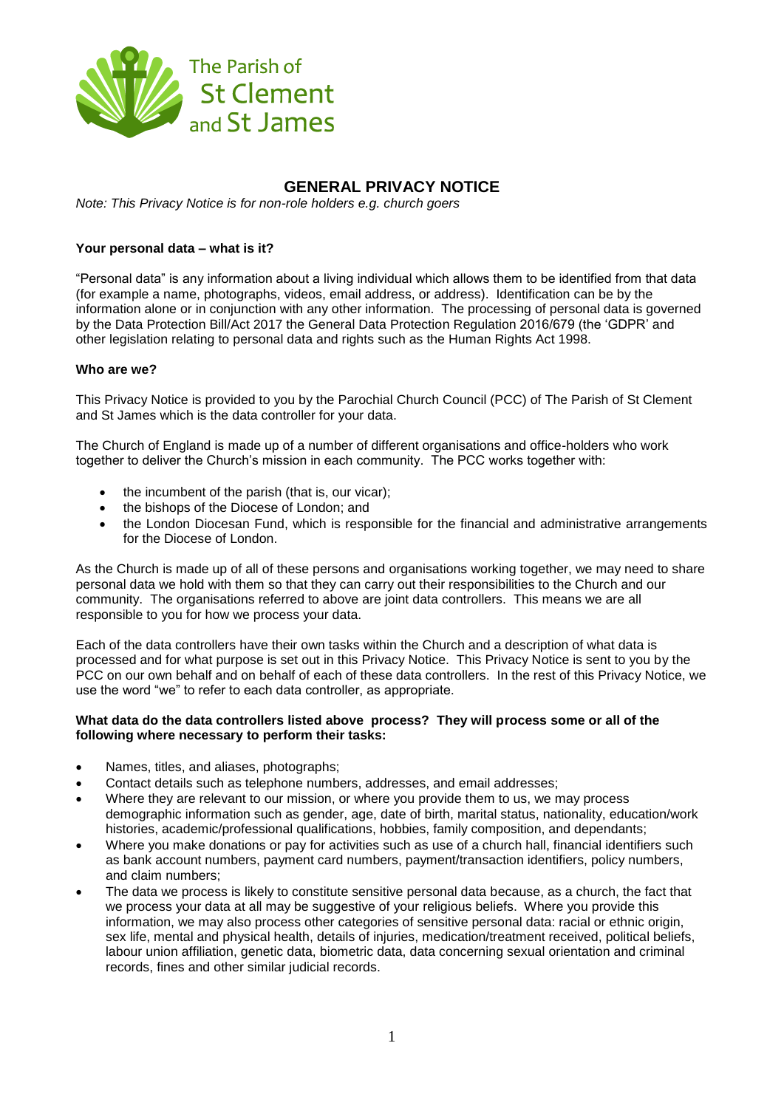

# **GENERAL PRIVACY NOTICE**

*Note: This Privacy Notice is for non-role holders e.g. church goers*

# **Your personal data – what is it?**

"Personal data" is any information about a living individual which allows them to be identified from that data (for example a name, photographs, videos, email address, or address). Identification can be by the information alone or in conjunction with any other information. The processing of personal data is governed by the Data Protection Bill/Act 2017 the General Data Protection Regulation 2016/679 (the "GDPR" and other legislation relating to personal data and rights such as the Human Rights Act 1998.

## **Who are we?**

This Privacy Notice is provided to you by the Parochial Church Council (PCC) of The Parish of St Clement and St James which is the data controller for your data.

The Church of England is made up of a number of different organisations and office-holders who work together to deliver the Church"s mission in each community. The PCC works together with:

- the incumbent of the parish (that is, our vicar);
- the bishops of the Diocese of London; and
- the London Diocesan Fund, which is responsible for the financial and administrative arrangements for the Diocese of London.

As the Church is made up of all of these persons and organisations working together, we may need to share personal data we hold with them so that they can carry out their responsibilities to the Church and our community. The organisations referred to above are joint data controllers. This means we are all responsible to you for how we process your data.

Each of the data controllers have their own tasks within the Church and a description of what data is processed and for what purpose is set out in this Privacy Notice. This Privacy Notice is sent to you by the PCC on our own behalf and on behalf of each of these data controllers. In the rest of this Privacy Notice, we use the word "we" to refer to each data controller, as appropriate.

## **What data do the data controllers listed above process? They will process some or all of the following where necessary to perform their tasks:**

- Names, titles, and aliases, photographs;
- Contact details such as telephone numbers, addresses, and email addresses;
- Where they are relevant to our mission, or where you provide them to us, we may process demographic information such as gender, age, date of birth, marital status, nationality, education/work histories, academic/professional qualifications, hobbies, family composition, and dependants;
- Where you make donations or pay for activities such as use of a church hall, financial identifiers such as bank account numbers, payment card numbers, payment/transaction identifiers, policy numbers, and claim numbers;
- The data we process is likely to constitute sensitive personal data because, as a church, the fact that we process your data at all may be suggestive of your religious beliefs. Where you provide this information, we may also process other categories of sensitive personal data: racial or ethnic origin, sex life, mental and physical health, details of injuries, medication/treatment received, political beliefs, labour union affiliation, genetic data, biometric data, data concerning sexual orientation and criminal records, fines and other similar judicial records.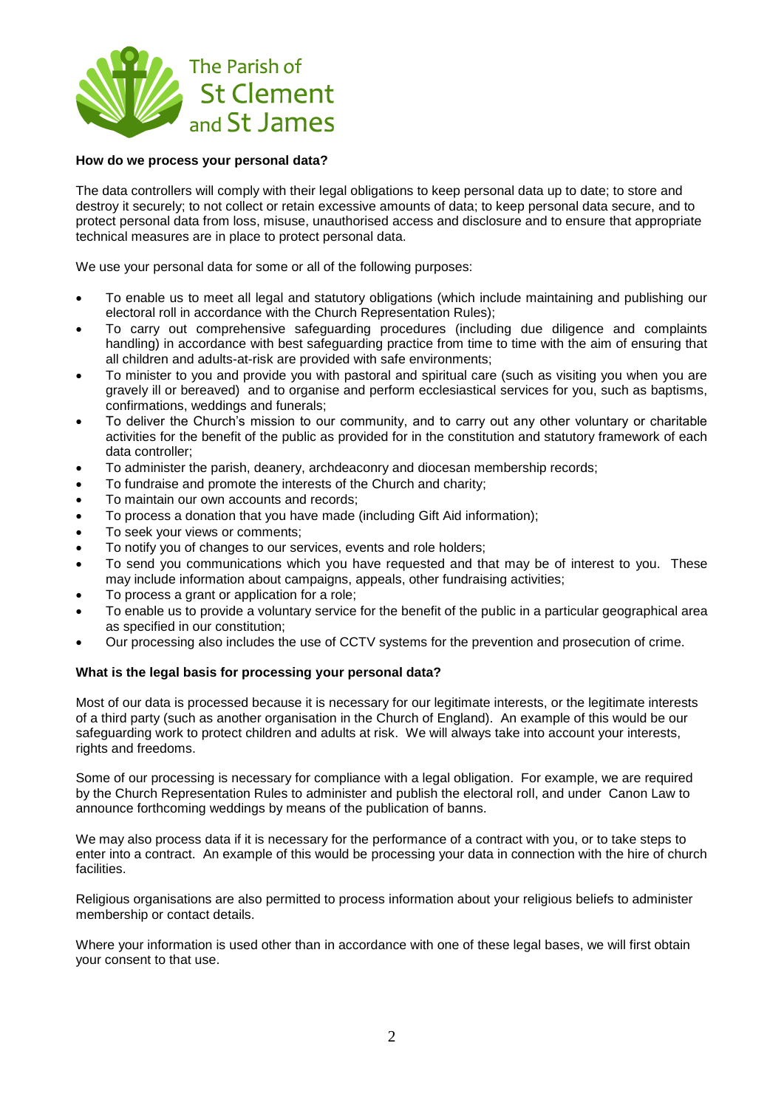

## **How do we process your personal data?**

The data controllers will comply with their legal obligations to keep personal data up to date; to store and destroy it securely; to not collect or retain excessive amounts of data; to keep personal data secure, and to protect personal data from loss, misuse, unauthorised access and disclosure and to ensure that appropriate technical measures are in place to protect personal data.

We use your personal data for some or all of the following purposes:

- To enable us to meet all legal and statutory obligations (which include maintaining and publishing our electoral roll in accordance with the Church Representation Rules);
- To carry out comprehensive safeguarding procedures (including due diligence and complaints handling) in accordance with best safeguarding practice from time to time with the aim of ensuring that all children and adults-at-risk are provided with safe environments;
- To minister to you and provide you with pastoral and spiritual care (such as visiting you when you are gravely ill or bereaved) and to organise and perform ecclesiastical services for you, such as baptisms, confirmations, weddings and funerals;
- To deliver the Church"s mission to our community, and to carry out any other voluntary or charitable activities for the benefit of the public as provided for in the constitution and statutory framework of each data controller;
- To administer the parish, deanery, archdeaconry and diocesan membership records;
- To fundraise and promote the interests of the Church and charity;
- To maintain our own accounts and records;
- To process a donation that you have made (including Gift Aid information);
- To seek your views or comments;
- To notify you of changes to our services, events and role holders;
- To send you communications which you have requested and that may be of interest to you. These may include information about campaigns, appeals, other fundraising activities;
- To process a grant or application for a role;
- To enable us to provide a voluntary service for the benefit of the public in a particular geographical area as specified in our constitution;
- Our processing also includes the use of CCTV systems for the prevention and prosecution of crime.

## **What is the legal basis for processing your personal data?**

Most of our data is processed because it is necessary for our legitimate interests, or the legitimate interests of a third party (such as another organisation in the Church of England). An example of this would be our safeguarding work to protect children and adults at risk. We will always take into account your interests, rights and freedoms.

Some of our processing is necessary for compliance with a legal obligation. For example, we are required by the Church Representation Rules to administer and publish the electoral roll, and under Canon Law to announce forthcoming weddings by means of the publication of banns.

We may also process data if it is necessary for the performance of a contract with you, or to take steps to enter into a contract. An example of this would be processing your data in connection with the hire of church facilities.

Religious organisations are also permitted to process information about your religious beliefs to administer membership or contact details.

Where your information is used other than in accordance with one of these legal bases, we will first obtain your consent to that use.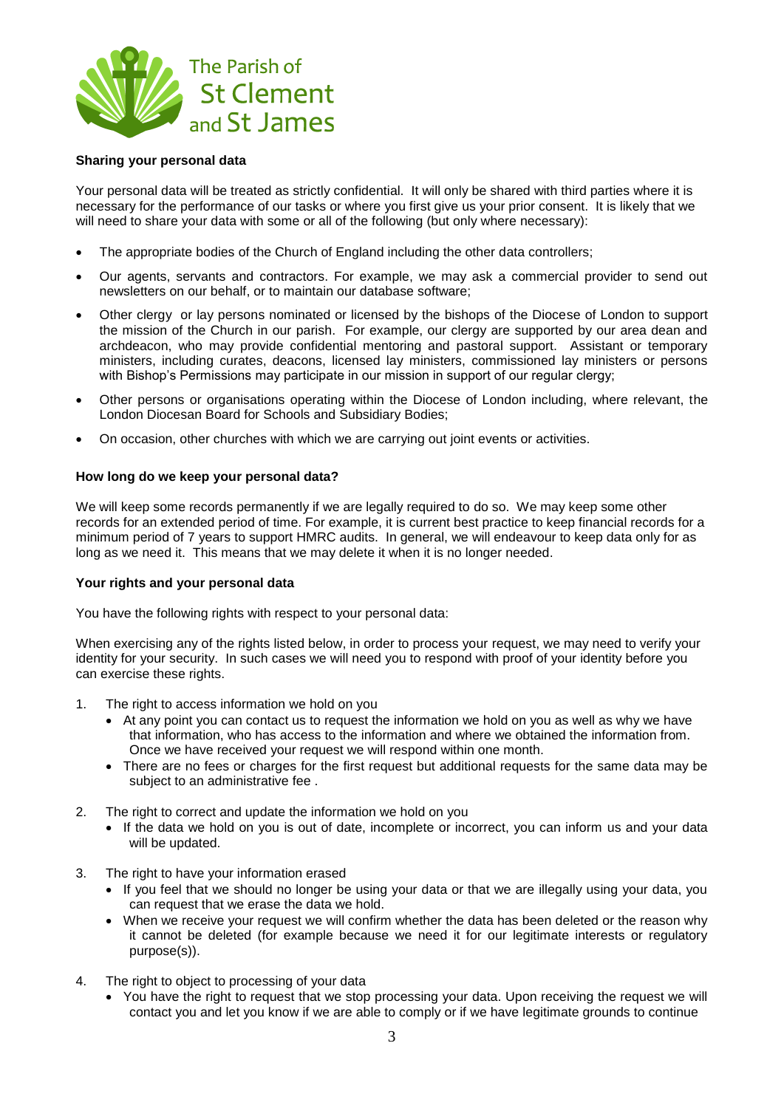

## **Sharing your personal data**

Your personal data will be treated as strictly confidential. It will only be shared with third parties where it is necessary for the performance of our tasks or where you first give us your prior consent. It is likely that we will need to share your data with some or all of the following (but only where necessary):

- The appropriate bodies of the Church of England including the other data controllers;
- Our agents, servants and contractors. For example, we may ask a commercial provider to send out newsletters on our behalf, or to maintain our database software;
- Other clergy or lay persons nominated or licensed by the bishops of the Diocese of London to support the mission of the Church in our parish. For example, our clergy are supported by our area dean and archdeacon, who may provide confidential mentoring and pastoral support. Assistant or temporary ministers, including curates, deacons, licensed lay ministers, commissioned lay ministers or persons with Bishop's Permissions may participate in our mission in support of our regular clergy;
- Other persons or organisations operating within the Diocese of London including, where relevant, the London Diocesan Board for Schools and Subsidiary Bodies;
- On occasion, other churches with which we are carrying out joint events or activities.

## **How long do we keep your personal data?**

We will keep some records permanently if we are legally required to do so. We may keep some other records for an extended period of time. For example, it is current best practice to keep financial records for a minimum period of 7 years to support HMRC audits. In general, we will endeavour to keep data only for as long as we need it. This means that we may delete it when it is no longer needed.

## **Your rights and your personal data**

You have the following rights with respect to your personal data:

When exercising any of the rights listed below, in order to process your request, we may need to verify your identity for your security. In such cases we will need you to respond with proof of your identity before you can exercise these rights.

- 1. The right to access information we hold on you
	- At any point you can contact us to request the information we hold on you as well as why we have that information, who has access to the information and where we obtained the information from. Once we have received your request we will respond within one month.
	- There are no fees or charges for the first request but additional requests for the same data may be subject to an administrative fee .
- 2. The right to correct and update the information we hold on you
	- If the data we hold on you is out of date, incomplete or incorrect, you can inform us and your data will be updated.
- 3. The right to have your information erased
	- If you feel that we should no longer be using your data or that we are illegally using your data, you can request that we erase the data we hold.
	- When we receive your request we will confirm whether the data has been deleted or the reason why it cannot be deleted (for example because we need it for our legitimate interests or regulatory purpose(s)).
- 4. The right to object to processing of your data
	- You have the right to request that we stop processing your data. Upon receiving the request we will contact you and let you know if we are able to comply or if we have legitimate grounds to continue